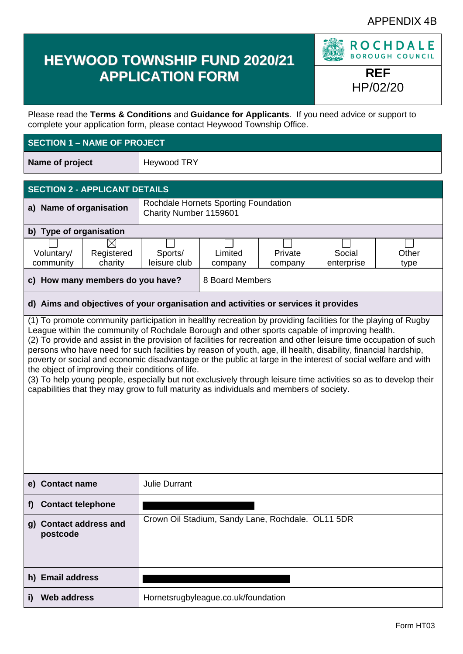# APPENDIX 4B

# **HEYWOOD TOWNSHIP FUND 2020/21 APPLICATION FORM REF**

**ROCHDALE BOROUGH COUNCIL** 

HP/02/20

Please read the **Terms & Conditions** and **Guidance for Applicants**. If you need advice or support to complete your application form, please contact Heywood Township Office.

# **SECTION 1 – NAME OF PROJECT**

**Name of project** | Heywood TRY

| <b>SECTION 2 - APPLICANT DETAILS</b>                                                                                                                             |  |                                                                |  |  |  |
|------------------------------------------------------------------------------------------------------------------------------------------------------------------|--|----------------------------------------------------------------|--|--|--|
| a) Name of organisation                                                                                                                                          |  | Rochdale Hornets Sporting Foundation<br>Charity Number 1159601 |  |  |  |
| b) Type of organisation                                                                                                                                          |  |                                                                |  |  |  |
| Voluntary/<br>Limited<br>Private<br>Other<br>Registered<br>Social<br>Sports/<br>leisure club<br>charity<br>community<br>enterprise<br>type<br>company<br>company |  |                                                                |  |  |  |
| c) How many members do you have?                                                                                                                                 |  | 8 Board Members                                                |  |  |  |

## **d) Aims and objectives of your organisation and activities or services it provides**

(1) To promote community participation in healthy recreation by providing facilities for the playing of Rugby League within the community of Rochdale Borough and other sports capable of improving health. (2) To provide and assist in the provision of facilities for recreation and other leisure time occupation of such persons who have need for such facilities by reason of youth, age, ill health, disability, financial hardship, poverty or social and economic disadvantage or the public at large in the interest of social welfare and with the object of improving their conditions of life.

(3) To help young people, especially but not exclusively through leisure time activities so as to develop their capabilities that they may grow to full maturity as individuals and members of society.

| e) Contact name                    | <b>Julie Durrant</b>                              |
|------------------------------------|---------------------------------------------------|
| <b>Contact telephone</b><br>f)     |                                                   |
| g) Contact address and<br>postcode | Crown Oil Stadium, Sandy Lane, Rochdale. OL11 5DR |
| h) Email address                   |                                                   |
| <b>Web address</b>                 | Hornetsrugbyleague.co.uk/foundation               |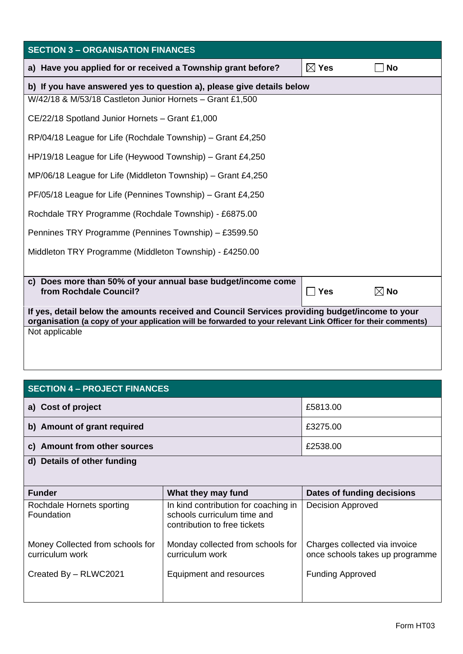| <b>SECTION 3 - ORGANISATION FINANCES</b>                                                                                                                                                                       |                      |                |
|----------------------------------------------------------------------------------------------------------------------------------------------------------------------------------------------------------------|----------------------|----------------|
| a) Have you applied for or received a Township grant before?                                                                                                                                                   | $\boxtimes$ Yes      | <b>No</b>      |
| b) If you have answered yes to question a), please give details below                                                                                                                                          |                      |                |
| W/42/18 & M/53/18 Castleton Junior Hornets - Grant £1,500                                                                                                                                                      |                      |                |
| CE/22/18 Spotland Junior Hornets - Grant £1,000                                                                                                                                                                |                      |                |
| RP/04/18 League for Life (Rochdale Township) – Grant £4,250                                                                                                                                                    |                      |                |
| HP/19/18 League for Life (Heywood Township) – Grant £4,250                                                                                                                                                     |                      |                |
| MP/06/18 League for Life (Middleton Township) - Grant £4,250                                                                                                                                                   |                      |                |
| PF/05/18 League for Life (Pennines Township) – Grant £4,250                                                                                                                                                    |                      |                |
| Rochdale TRY Programme (Rochdale Township) - £6875.00                                                                                                                                                          |                      |                |
| Pennines TRY Programme (Pennines Township) - £3599.50                                                                                                                                                          |                      |                |
| Middleton TRY Programme (Middleton Township) - £4250.00                                                                                                                                                        |                      |                |
|                                                                                                                                                                                                                |                      |                |
| c) Does more than 50% of your annual base budget/income come<br>from Rochdale Council?                                                                                                                         | <b>Yes</b><br>$\sim$ | $\boxtimes$ No |
| If yes, detail below the amounts received and Council Services providing budget/income to your<br>organisation (a copy of your application will be forwarded to your relevant Link Officer for their comments) |                      |                |
| Not applicable                                                                                                                                                                                                 |                      |                |
|                                                                                                                                                                                                                |                      |                |
|                                                                                                                                                                                                                |                      |                |

# **SECTION 4 – PROJECT FINANCES**

| a) Cost of project                                  | £5813.00                                                                                            |                                                                  |
|-----------------------------------------------------|-----------------------------------------------------------------------------------------------------|------------------------------------------------------------------|
| b) Amount of grant required                         | £3275.00                                                                                            |                                                                  |
| c) Amount from other sources                        | £2538.00                                                                                            |                                                                  |
| d) Details of other funding                         |                                                                                                     |                                                                  |
|                                                     |                                                                                                     |                                                                  |
| <b>Funder</b>                                       | What they may fund                                                                                  | Dates of funding decisions                                       |
| Rochdale Hornets sporting<br>Foundation             | In kind contribution for coaching in<br>schools curriculum time and<br>contribution to free tickets | <b>Decision Approved</b>                                         |
| Money Collected from schools for<br>curriculum work | Monday collected from schools for<br>curriculum work                                                | Charges collected via invoice<br>once schools takes up programme |
| Created By - RLWC2021                               | Equipment and resources                                                                             | <b>Funding Approved</b>                                          |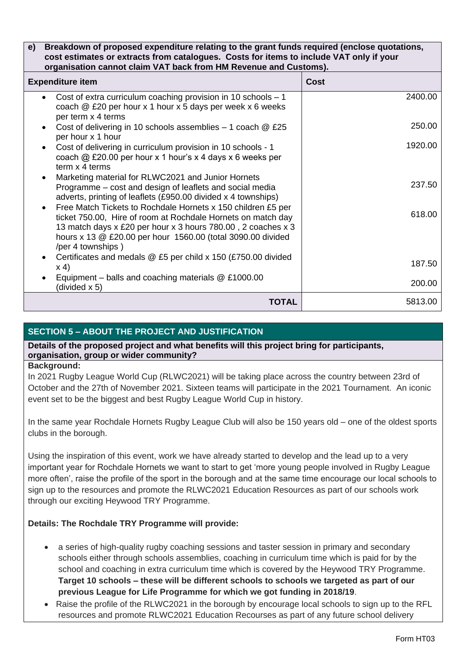#### **e) Breakdown of proposed expenditure relating to the grant funds required (enclose quotations, cost estimates or extracts from catalogues. Costs for items to include VAT only if your organisation cannot claim VAT back from HM Revenue and Customs).**

| <b>Expenditure item</b>                                                                                                                                                                                                                                                          | <b>Cost</b> |
|----------------------------------------------------------------------------------------------------------------------------------------------------------------------------------------------------------------------------------------------------------------------------------|-------------|
| Cost of extra curriculum coaching provision in 10 schools $-1$<br>$\bullet$<br>coach @ £20 per hour x 1 hour x 5 days per week x 6 weeks<br>per term x 4 terms                                                                                                                   | 2400.00     |
| Cost of delivering in 10 schools assemblies $-$ 1 coach $@$ £25<br>per hour x 1 hour                                                                                                                                                                                             | 250.00      |
| Cost of delivering in curriculum provision in 10 schools - 1<br>coach $@$ £20.00 per hour x 1 hour's x 4 days x 6 weeks per<br>term x 4 terms                                                                                                                                    | 1920.00     |
| Marketing material for RLWC2021 and Junior Hornets<br>Programme – cost and design of leaflets and social media<br>adverts, printing of leaflets (£950.00 divided x 4 townships)                                                                                                  | 237.50      |
| Free Match Tickets to Rochdale Hornets x 150 children £5 per<br>ticket 750.00, Hire of room at Rochdale Hornets on match day<br>13 match days x £20 per hour x 3 hours 780.00, 2 coaches x 3<br>hours x 13 @ £20.00 per hour 1560.00 (total 3090.00 divided<br>/per 4 townships) | 618.00      |
| Certificates and medals @ £5 per child x 150 (£750.00 divided<br>x 4)                                                                                                                                                                                                            | 187.50      |
| Equipment – balls and coaching materials $@E1000.00$<br>(divided x 5)                                                                                                                                                                                                            | 200.00      |
| TOTAL                                                                                                                                                                                                                                                                            | 5813.00     |

# **SECTION 5 – ABOUT THE PROJECT AND JUSTIFICATION**

**Details of the proposed project and what benefits will this project bring for participants, organisation, group or wider community?**

## **Background:**

In 2021 Rugby League World Cup (RLWC2021) will be taking place across the country between 23rd of October and the 27th of November 2021. Sixteen teams will participate in the 2021 Tournament. An iconic event set to be the biggest and best Rugby League World Cup in history.

In the same year Rochdale Hornets Rugby League Club will also be 150 years old – one of the oldest sports clubs in the borough.

Using the inspiration of this event, work we have already started to develop and the lead up to a very important year for Rochdale Hornets we want to start to get 'more young people involved in Rugby League more often', raise the profile of the sport in the borough and at the same time encourage our local schools to sign up to the resources and promote the RLWC2021 Education Resources as part of our schools work through our exciting Heywood TRY Programme.

# **Details: The Rochdale TRY Programme will provide:**

- a series of high-quality rugby coaching sessions and taster session in primary and secondary schools either through schools assemblies, coaching in curriculum time which is paid for by the school and coaching in extra curriculum time which is covered by the Heywood TRY Programme. **Target 10 schools – these will be different schools to schools we targeted as part of our previous League for Life Programme for which we got funding in 2018/19**.
- Raise the profile of the RLWC2021 in the borough by encourage local schools to sign up to the RFL resources and promote RLWC2021 Education Recourses as part of any future school delivery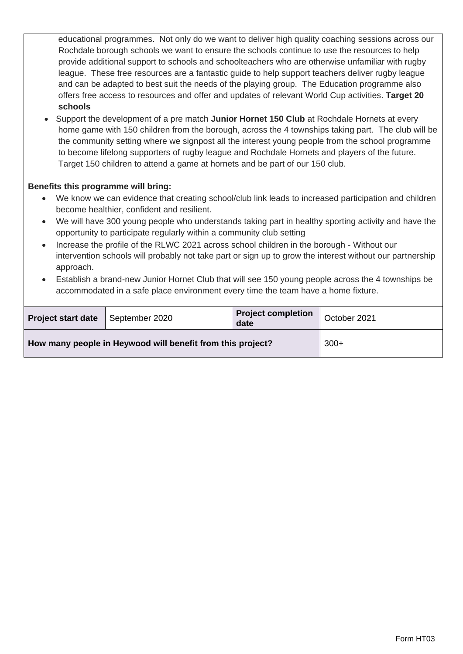educational programmes. Not only do we want to deliver high quality coaching sessions across our Rochdale borough schools we want to ensure the schools continue to use the resources to help provide additional support to schools and schoolteachers who are otherwise unfamiliar with rugby league. These free resources are a fantastic guide to help support teachers deliver rugby league and can be adapted to best suit the needs of the playing group. The Education programme also offers free access to resources and offer and updates of relevant World Cup activities. **Target 20 schools** 

 Support the development of a pre match **Junior Hornet 150 Club** at Rochdale Hornets at every home game with 150 children from the borough, across the 4 townships taking part. The club will be the community setting where we signpost all the interest young people from the school programme to become lifelong supporters of rugby league and Rochdale Hornets and players of the future. Target 150 children to attend a game at hornets and be part of our 150 club.

## **Benefits this programme will bring:**

- We know we can evidence that creating school/club link leads to increased participation and children become healthier, confident and resilient.
- We will have 300 young people who understands taking part in healthy sporting activity and have the opportunity to participate regularly within a community club setting
- Increase the profile of the RLWC 2021 across school children in the borough Without our intervention schools will probably not take part or sign up to grow the interest without our partnership approach.
- Establish a brand-new Junior Hornet Club that will see 150 young people across the 4 townships be accommodated in a safe place environment every time the team have a home fixture.

| <b>Project start date</b>                                  | September 2020 | <b>Project completion</b><br>date | October 2021 |
|------------------------------------------------------------|----------------|-----------------------------------|--------------|
| How many people in Heywood will benefit from this project? |                |                                   | $300+$       |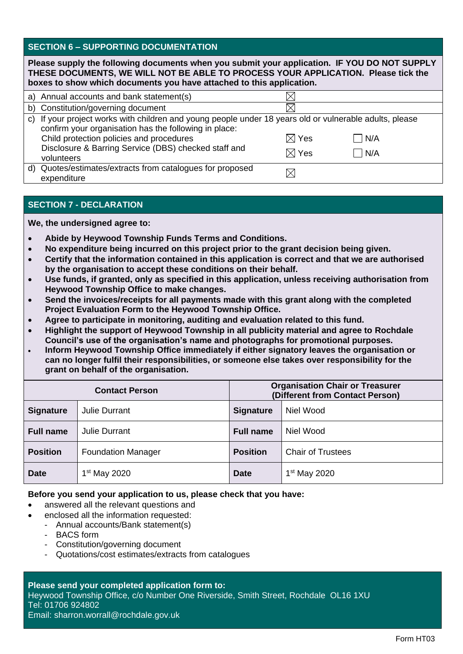## **SECTION 6 – SUPPORTING DOCUMENTATION**

| Please supply the following documents when you submit your application. IF YOU DO NOT SUPPLY<br>THESE DOCUMENTS, WE WILL NOT BE ABLE TO PROCESS YOUR APPLICATION. Please tick the<br>boxes to show which documents you have attached to this application. |                                                                                                                                                                                                                                                                                    |                                    |            |
|-----------------------------------------------------------------------------------------------------------------------------------------------------------------------------------------------------------------------------------------------------------|------------------------------------------------------------------------------------------------------------------------------------------------------------------------------------------------------------------------------------------------------------------------------------|------------------------------------|------------|
|                                                                                                                                                                                                                                                           | a) Annual accounts and bank statement(s)                                                                                                                                                                                                                                           |                                    |            |
|                                                                                                                                                                                                                                                           | b) Constitution/governing document                                                                                                                                                                                                                                                 |                                    |            |
|                                                                                                                                                                                                                                                           | c) If your project works with children and young people under 18 years old or vulnerable adults, please<br>confirm your organisation has the following in place:<br>Child protection policies and procedures<br>Disclosure & Barring Service (DBS) checked staff and<br>volunteers | $\boxtimes$ Yes<br>$\boxtimes$ Yes | N/A<br>N/A |
| d)                                                                                                                                                                                                                                                        | Quotes/estimates/extracts from catalogues for proposed<br>expenditure                                                                                                                                                                                                              |                                    |            |

# **SECTION 7 - DECLARATION**

**We, the undersigned agree to:**

- **Abide by Heywood Township Funds Terms and Conditions.**
- **No expenditure being incurred on this project prior to the grant decision being given.**
- **Certify that the information contained in this application is correct and that we are authorised by the organisation to accept these conditions on their behalf.**
- **Use funds, if granted, only as specified in this application, unless receiving authorisation from Heywood Township Office to make changes.**
- **Send the invoices/receipts for all payments made with this grant along with the completed Project Evaluation Form to the Heywood Township Office.**
- **Agree to participate in monitoring, auditing and evaluation related to this fund.**
- **Highlight the support of Heywood Township in all publicity material and agree to Rochdale Council's use of the organisation's name and photographs for promotional purposes.**
- **Inform Heywood Township Office immediately if either signatory leaves the organisation or can no longer fulfil their responsibilities, or someone else takes over responsibility for the grant on behalf of the organisation.**

| <b>Contact Person</b> |                           | <b>Organisation Chair or Treasurer</b><br>(Different from Contact Person) |                          |
|-----------------------|---------------------------|---------------------------------------------------------------------------|--------------------------|
| <b>Signature</b>      | <b>Julie Durrant</b>      | <b>Signature</b>                                                          | Niel Wood                |
| <b>Full name</b>      | <b>Julie Durrant</b>      | <b>Full name</b>                                                          | Niel Wood                |
| <b>Position</b>       | <b>Foundation Manager</b> | <b>Position</b>                                                           | <b>Chair of Trustees</b> |
| <b>Date</b>           | 1 <sup>st</sup> May 2020  | <b>Date</b>                                                               | 1 <sup>st</sup> May 2020 |

## **Before you send your application to us, please check that you have:**

- answered all the relevant questions and
- enclosed all the information requested:
	- Annual accounts/Bank statement(s)
	- BACS form
	- Constitution/governing document
	- Quotations/cost estimates/extracts from catalogues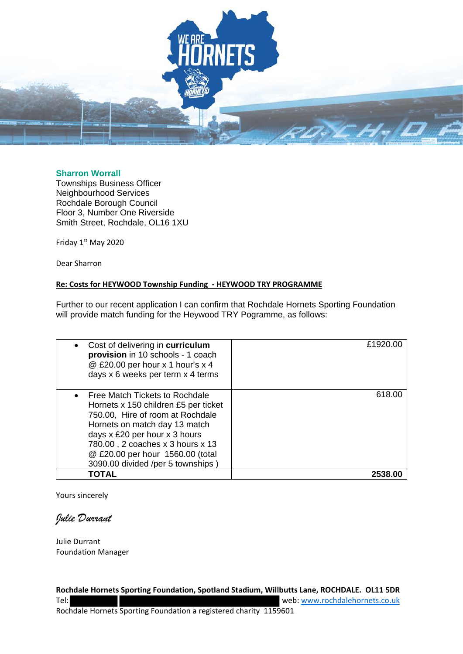

#### **Sharron Worrall**

Townships Business Officer Neighbourhood Services Rochdale Borough Council Floor 3, Number One Riverside Smith Street, Rochdale, OL16 1XU

Friday 1st May 2020

Dear Sharron

#### **Re: Costs for HEYWOOD Township Funding - HEYWOOD TRY PROGRAMME**

Further to our recent application I can confirm that Rochdale Hornets Sporting Foundation will provide match funding for the Heywood TRY Pogramme, as follows:

| Cost of delivering in curriculum<br>$\bullet$<br>provision in 10 schools - 1 coach<br>@ £20.00 per hour x 1 hour's x 4<br>days x 6 weeks per term x 4 terms                                                                                                                                 | £1920.00 |
|---------------------------------------------------------------------------------------------------------------------------------------------------------------------------------------------------------------------------------------------------------------------------------------------|----------|
| • Free Match Tickets to Rochdale<br>Hornets x 150 children £5 per ticket<br>750.00, Hire of room at Rochdale<br>Hornets on match day 13 match<br>days x £20 per hour x 3 hours<br>780.00, 2 coaches x 3 hours x 13<br>@ £20.00 per hour 1560.00 (total<br>3090.00 divided /per 5 townships) | 618.00   |
| TOTAL                                                                                                                                                                                                                                                                                       | 2538.00  |

Yours sincerely

## *Julie Durrant*

Julie Durrant Foundation Manager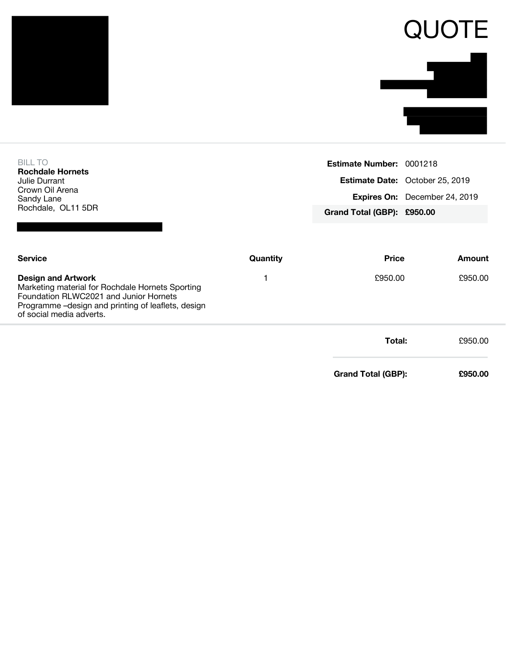| <b>BILL TO</b><br><b>Rochdale Hornets</b>                                                                                                                                                                 |          | Estimate Number: 0001218   |                                 |
|-----------------------------------------------------------------------------------------------------------------------------------------------------------------------------------------------------------|----------|----------------------------|---------------------------------|
| Julie Durrant                                                                                                                                                                                             |          |                            | Estimate Date: October 25, 2019 |
| Crown Oil Arena<br>Sandy Lane                                                                                                                                                                             |          |                            | Expires On: December 24, 2019   |
| Rochdale, OL11 5DR                                                                                                                                                                                        |          | Grand Total (GBP): £950.00 |                                 |
|                                                                                                                                                                                                           |          |                            |                                 |
| <b>Service</b>                                                                                                                                                                                            | Quantity | <b>Price</b>               | <b>Amount</b>                   |
| <b>Design and Artwork</b><br>Marketing material for Rochdale Hornets Sporting<br>Foundation RLWC2021 and Junior Hornets<br>Programme -design and printing of leaflets, design<br>of social media adverts. | 1        | £950.00                    | £950.00                         |
|                                                                                                                                                                                                           |          | Total:                     | £950.00                         |
|                                                                                                                                                                                                           |          | <b>Grand Total (GBP):</b>  | £950.00                         |